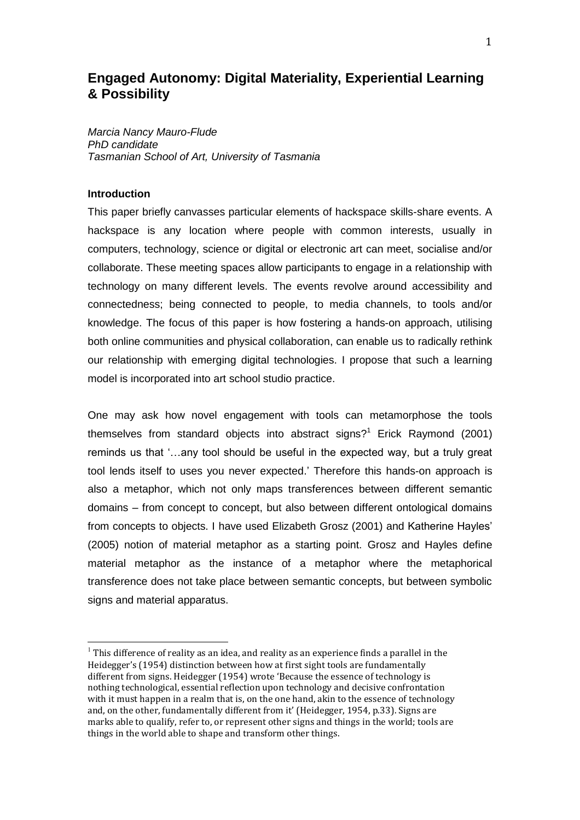# **Engaged Autonomy: Digital Materiality, Experiential Learning & Possibility**

*Marcia Nancy Mauro-Flude PhD candidate Tasmanian School of Art, University of Tasmania* 

### **Introduction**

 $\overline{a}$ 

This paper briefly canvasses particular elements of hackspace skills-share events. A hackspace is any location where people with common interests, usually in [computers,](http://en.wikipedia.org/wiki/Computer) [technology,](http://en.wikipedia.org/wiki/Technology) [science](http://en.wikipedia.org/wiki/Science) or [digital](http://en.wikipedia.org/wiki/Digital_art) or [electronic art](http://en.wikipedia.org/wiki/Electronic_art) can meet, [socialise](http://en.wikipedia.org/wiki/Socialization) and/or [collaborate.](http://en.wikipedia.org/wiki/Collaboration) These meeting spaces allow participants to engage in a relationship with technology on many different levels. The events revolve around accessibility and connectedness; being connected to people, to media channels, to tools and/or knowledge. The focus of this paper is how fostering a hands-on approach, utilising both online communities and physical collaboration, can enable us to radically rethink our relationship with emerging digital technologies. I propose that such a learning model is incorporated into art school studio practice.

One may ask how novel engagement with tools can metamorphose the tools themselves from standard objects into abstract signs?<sup>1</sup> Erick Raymond (2001) reminds us that "…any tool should be useful in the expected way, but a truly great tool lends itself to uses you never expected." Therefore this hands-on approach is also a metaphor, which not only maps transferences between different semantic domains – from concept to concept, but also between different ontological domains from concepts to objects. I have used Elizabeth Grosz (2001) and Katherine Hayles" (2005) notion of material metaphor as a starting point. Grosz and Hayles define material metaphor as the instance of a metaphor where the metaphorical transference does not take place between semantic concepts, but between symbolic signs and material apparatus.

 $1$  This difference of reality as an idea, and reality as an experience finds a parallel in the Heidegger's (1954) distinction between how at first sight tools are fundamentally different from signs. Heidegger (1954) wrote 'Because the essence of technology is nothing technological, essential reflection upon technology and decisive confrontation with it must happen in a realm that is, on the one hand, akin to the essence of technology and, on the other, fundamentally different from it' (Heidegger, 1954, p.33). Signs are marks able to qualify, refer to, or represent other signs and things in the world; tools are things in the world able to shape and transform other things.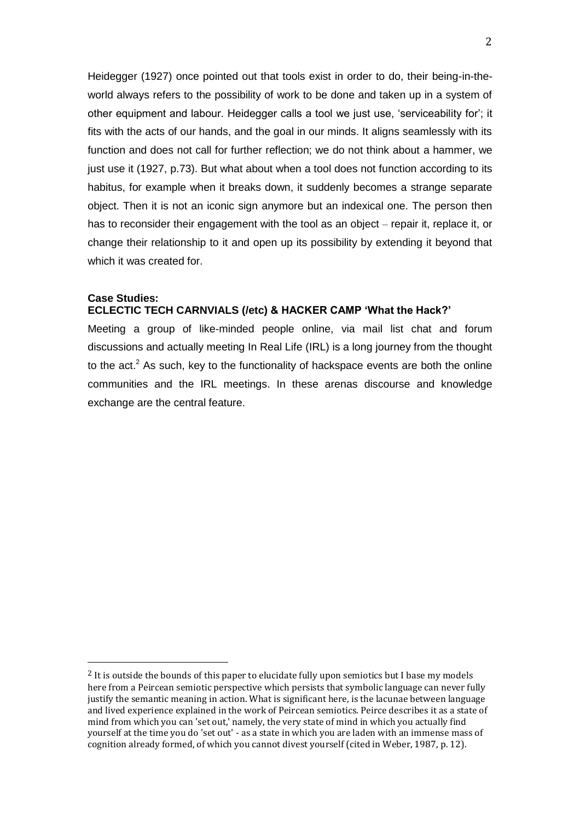Heidegger (1927) once pointed out that tools exist in order to do, their being-in-theworld always refers to the possibility of work to be done and taken up in a system of other equipment and labour. Heidegger calls a tool we just use, "serviceability for"; it fits with the acts of our hands, and the goal in our minds. It aligns seamlessly with its function and does not call for further reflection; we do not think about a hammer, we just use it (1927, p.73). But what about when a tool does not function according to its habitus, for example when it breaks down, it suddenly becomes a strange separate object. Then it is not an iconic sign anymore but an indexical one. The person then has to reconsider their engagement with the tool as an object – repair it, replace it, or change their relationship to it and open up its possibility by extending it beyond that which it was created for.

#### **Case Studies: ECLECTIC TECH CARNVIALS (/etc) & HACKER CAMP 'What the Hack?'**

Meeting a group of like-minded people online, via mail list chat and forum discussions and actually meeting In Real Life (IRL) is a long journey from the thought to the  $act<sup>2</sup>$  As such, key to the functionality of hackspace events are both the online communities and the IRL meetings. In these arenas discourse and knowledge exchange are the central feature.

 $\overline{a}$ 

<sup>&</sup>lt;sup>2</sup> It is outside the bounds of this paper to elucidate fully upon semiotics but I base my models here from a Peircean semiotic perspective which persists that symbolic language can never fully justify the semantic meaning in action. What is significant here, is the lacunae between language and lived experience explained in the work of Peircean semiotics. Peirce describes it as a state of mind from which you can 'set out,' namely, the very state of mind in which you actually find yourself at the time you do 'set out' - as a state in which you are laden with an immense mass of cognition already formed, of which you cannot divest yourself (cited in Weber, 1987, p. 12).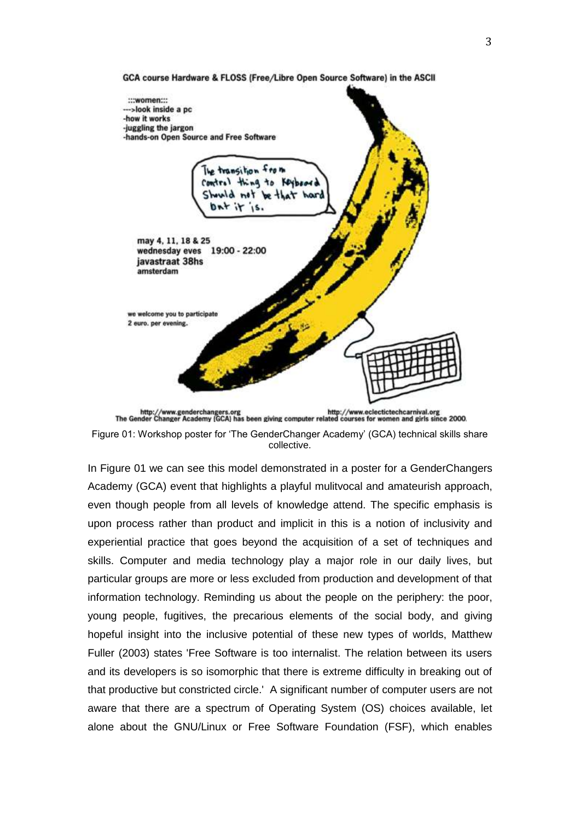



In Figure 01 we can see this model demonstrated in a poster for a GenderChangers Academy (GCA) event that highlights a playful mulitvocal and amateurish approach, even though people from all levels of knowledge attend. The specific emphasis is upon process rather than product and implicit in this is a notion of inclusivity and experiential practice that goes beyond the acquisition of a set of techniques and skills. Computer and media technology play a major role in our daily lives, but particular groups are more or less excluded from production and development of that information technology. Reminding us about the people on the periphery: the poor, young people, fugitives, the precarious elements of the social body, and giving hopeful insight into the inclusive potential of these new types of worlds, Matthew Fuller (2003) states 'Free Software is too internalist. The relation between its users and its developers is so isomorphic that there is extreme difficulty in breaking out of that productive but constricted circle.' A significant number of computer users are not aware that there are a spectrum of Operating System (OS) choices available, let alone about the GNU/Linux or Free Software Foundation (FSF), which enables

GCA course Hardware & FLOSS (Free/Libre Open Source Software) in the ASCII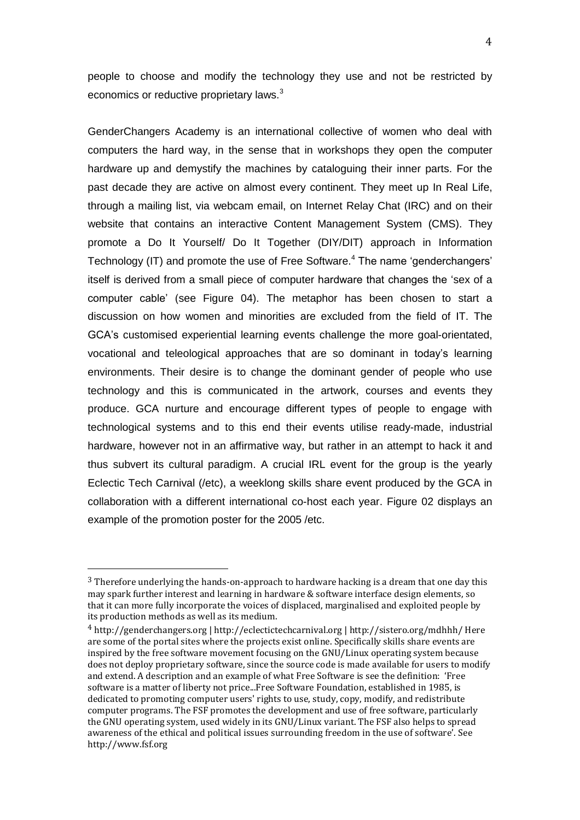people to choose and modify the technology they use and not be restricted by economics or reductive proprietary laws.<sup>3</sup>

GenderChangers Academy is an international collective of women who deal with computers the hard way, in the sense that in workshops they open the computer hardware up and demystify the machines by cataloguing their inner parts. For the past decade they are active on almost every continent. They meet up In Real Life, through a mailing list, via webcam email, on Internet Relay Chat (IRC) and on their website that contains an interactive Content Management System (CMS). They promote a Do It Yourself/ Do It Together (DIY/DIT) approach in Information Technology (IT) and promote the use of Free Software.<sup>4</sup> The name 'genderchangers' itself is derived from a small piece of computer hardware that changes the "sex of a computer cable" (see Figure 04). The metaphor has been chosen to start a discussion on how women and minorities are excluded from the field of IT. The GCA"s customised experiential learning events challenge the more goal-orientated, vocational and teleological approaches that are so dominant in today"s learning environments. Their desire is to change the dominant gender of people who use technology and this is communicated in the artwork, courses and events they produce. GCA nurture and encourage different types of people to engage with technological systems and to this end their events utilise ready-made, industrial hardware, however not in an affirmative way, but rather in an attempt to hack it and thus subvert its cultural paradigm. A crucial IRL event for the group is the yearly Eclectic Tech Carnival (/etc), a weeklong skills share event produced by the GCA in collaboration with a different international co-host each year. Figure 02 displays an example of the promotion poster for the 2005 /etc.

 $\overline{a}$ 

 $3$  Therefore underlying the hands-on-approach to hardware hacking is a dream that one day this may spark further interest and learning in hardware & software interface design elements, so that it can more fully incorporate the voices of displaced, marginalised and exploited people by its production methods as well as its medium.

<sup>4</sup> http://genderchangers.org | http://eclectictechcarnival.org | http://sistero.org/mdhhh/ Here are some of the portal sites where the projects exist online. Specifically skills share events are inspired by the free software movement focusing on the GNU/Linux operating system because does not deploy proprietary software, since the source code is made available for users to modify and extend. A description and an example of what Free Software is see the definition: 'Free software is a matter of liberty not price...Free Software Foundation, established in 1985, is dedicated to promoting computer users' rights to use, study, copy, modify, and redistribute computer programs. The FSF promotes the development and use of free software, particularly the GNU operating system, used widely in its GNU/Linux variant. The FSF also helps to spread awareness of the ethical and political issues surrounding freedom in the use of software'. See http://www.fsf.org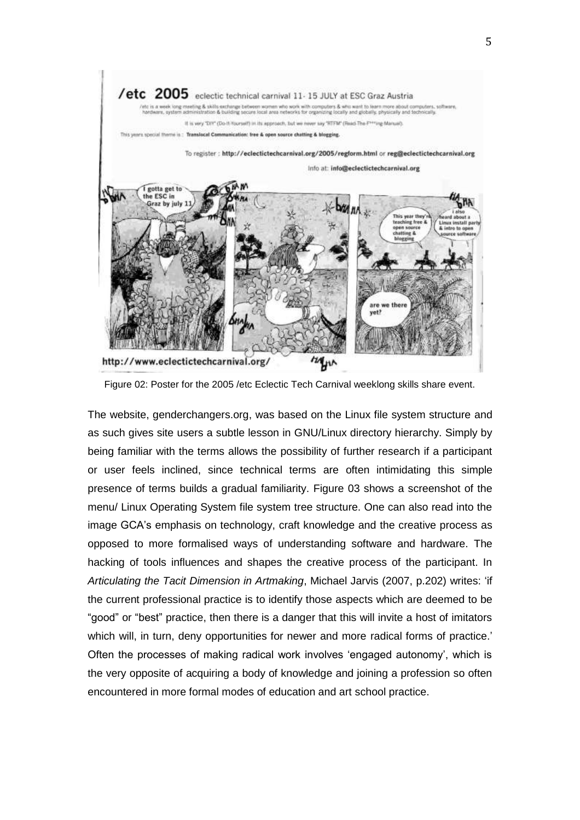

Figure 02: Poster for the 2005 /etc Eclectic Tech Carnival weeklong skills share event.

The website, genderchangers.org, was based on the Linux file system structure and as such gives site users a subtle lesson in GNU/Linux directory hierarchy. Simply by being familiar with the terms allows the possibility of further research if a participant or user feels inclined, since technical terms are often intimidating this simple presence of terms builds a gradual familiarity. Figure 03 shows a screenshot of the menu/ Linux Operating System file system tree structure. One can also read into the image GCA"s emphasis on technology, craft knowledge and the creative process as opposed to more formalised ways of understanding software and hardware. The hacking of tools influences and shapes the creative process of the participant. In *Articulating the Tacit Dimension in Artmaking*, Michael Jarvis (2007, p.202) writes: "if the current professional practice is to identify those aspects which are deemed to be "good" or "best" practice, then there is a danger that this will invite a host of imitators which will, in turn, deny opportunities for newer and more radical forms of practice.' Often the processes of making radical work involves "engaged autonomy", which is the very opposite of acquiring a body of knowledge and joining a profession so often encountered in more formal modes of education and art school practice.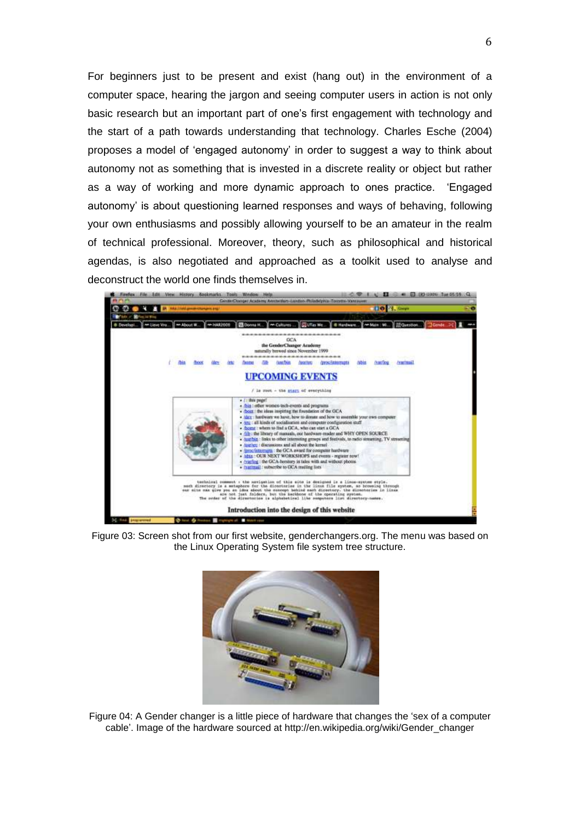For beginners just to be present and exist (hang out) in the environment of a computer space, hearing the jargon and seeing computer users in action is not only basic research but an important part of one"s first engagement with technology and the start of a path towards understanding that technology. Charles Esche (2004) proposes a model of "engaged autonomy" in order to suggest a way to think about autonomy not as something that is invested in a discrete reality or object but rather as a way of working and more dynamic approach to ones practice. "Engaged autonomy" is about questioning learned responses and ways of behaving, following your own enthusiasms and possibly allowing yourself to be an amateur in the realm of technical professional. Moreover, theory, such as philosophical and historical agendas, is also negotiated and approached as a toolkit used to analyse and deconstruct the world one finds themselves in.



Figure 03: Screen shot from our first website, genderchangers.org. The menu was based on the Linux Operating System file system tree structure.



Figure 04: A Gender changer is a little piece of hardware that changes the "sex of a computer cable". Image of the hardware sourced at [http://en.wikipedia.org/wiki/Gender\\_changer](http://en.wikipedia.org/wiki/Gender_changer)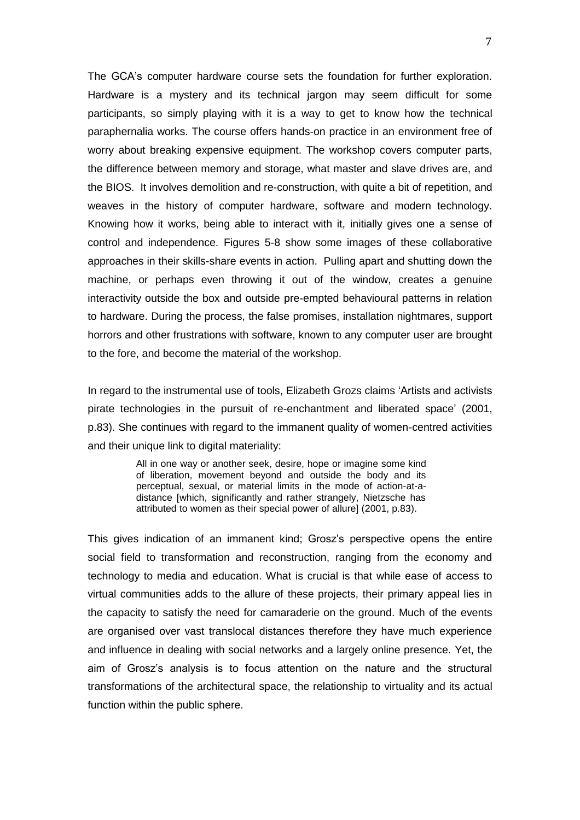The GCA"s computer hardware course sets the foundation for further exploration. Hardware is a mystery and its technical jargon may seem difficult for some participants, so simply playing with it is a way to get to know how the technical paraphernalia works. The course offers hands-on practice in an environment free of worry about breaking expensive equipment. The workshop covers computer parts, the difference between memory and storage, what master and slave drives are, and the BIOS. It involves demolition and re-construction, with quite a bit of repetition, and weaves in the history of computer hardware, software and modern technology. Knowing how it works, being able to interact with it, initially gives one a sense of control and independence. Figures 5-8 show some images of these collaborative approaches in their skills-share events in action. Pulling apart and shutting down the machine, or perhaps even throwing it out of the window, creates a genuine interactivity outside the box and outside pre-empted behavioural patterns in relation to hardware. During the process, the false promises, installation nightmares, support horrors and other frustrations with software, known to any computer user are brought to the fore, and become the material of the workshop.

In regard to the instrumental use of tools, Elizabeth Grozs claims "Artists and activists pirate technologies in the pursuit of re-enchantment and liberated space" (2001, p.83). She continues with regard to the immanent quality of women-centred activities and their unique link to digital materiality:

> All in one way or another seek, desire, hope or imagine some kind of liberation, movement beyond and outside the body and its perceptual, sexual, or material limits in the mode of action-at-adistance [which, significantly and rather strangely, Nietzsche has attributed to women as their special power of allure] (2001, p.83).

This gives indication of an immanent kind; Grosz"s perspective opens the entire social field to transformation and reconstruction, ranging from the economy and technology to media and education. What is crucial is that while ease of access to virtual communities adds to the allure of these projects, their primary appeal lies in the capacity to satisfy the need for camaraderie on the ground. Much of the events are organised over vast translocal distances therefore they have much experience and influence in dealing with social networks and a largely online presence. Yet, the aim of Grosz"s analysis is to focus attention on the nature and the structural transformations of the architectural space, the relationship to virtuality and its actual function within the public sphere.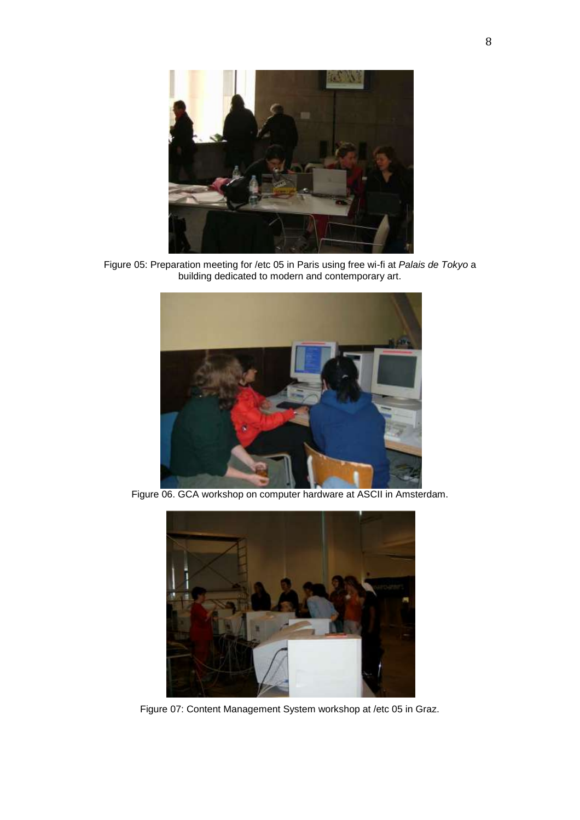

Figure 05: Preparation meeting for /etc 05 in Paris using free wi-fi at *Palais de Tokyo* a building dedicated to modern and contemporary art.



Figure 06. GCA workshop on computer hardware at ASCII in Amsterdam.



Figure 07: Content Management System workshop at /etc 05 in Graz.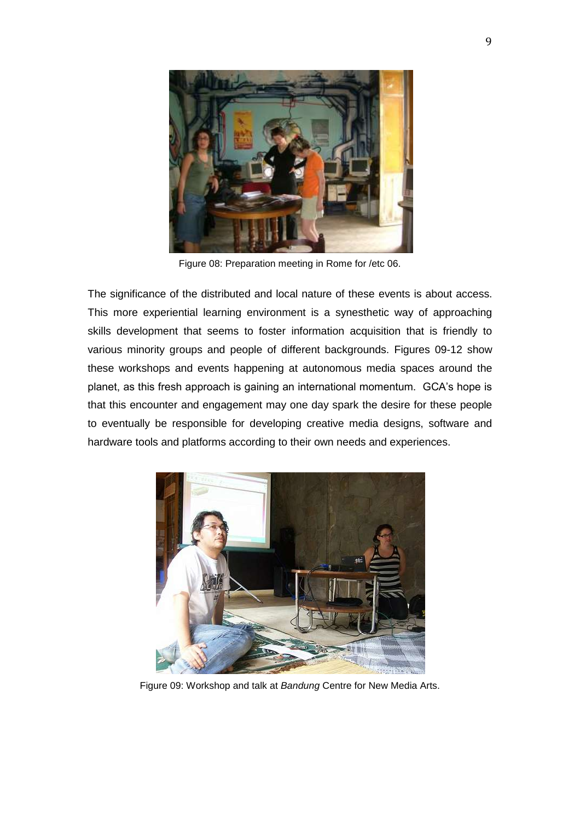

Figure 08: Preparation meeting in Rome for /etc 06.

The significance of the distributed and local nature of these events is about access. This more experiential learning environment is a synesthetic way of approaching skills development that seems to foster information acquisition that is friendly to various minority groups and people of different backgrounds. Figures 09-12 show these workshops and events happening at autonomous media spaces around the planet, as this fresh approach is gaining an international momentum. GCA"s hope is that this encounter and engagement may one day spark the desire for these people to eventually be responsible for developing creative media designs, software and hardware tools and platforms according to their own needs and experiences.



Figure 09: Workshop and talk at *Bandung* Centre for New Media Arts.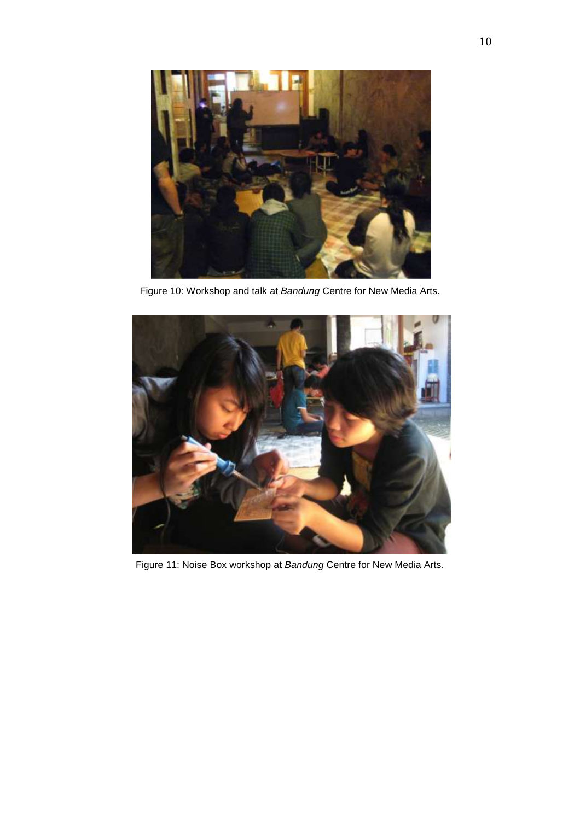

Figure 10: Workshop and talk at *Bandung* Centre for New Media Arts.



Figure 11: Noise Box workshop at *Bandung* Centre for New Media Arts.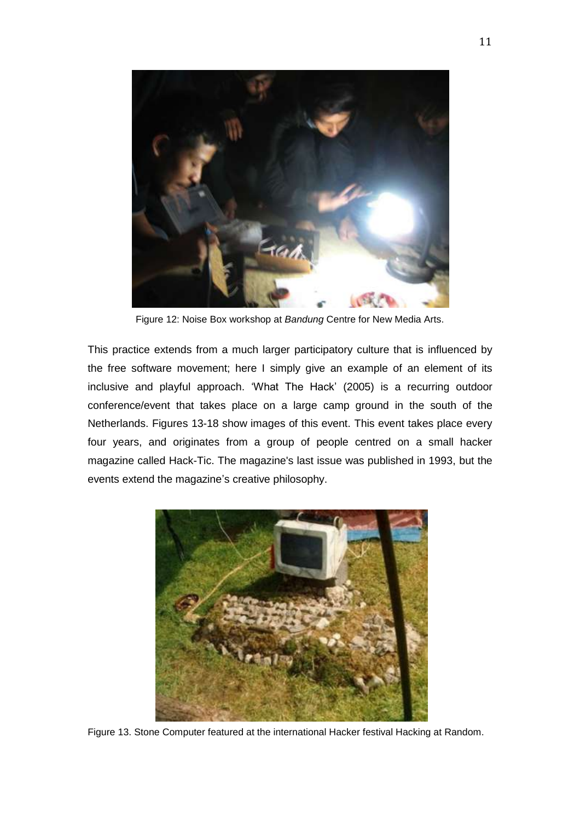

Figure 12: Noise Box workshop at *Bandung* Centre for New Media Arts.

This practice extends from a much larger participatory culture that is influenced by the free software movement; here I simply give an example of an element of its inclusive and playful approach. "What The Hack" (2005) is a recurring outdoor conference/event that takes place on a large camp ground in the south of the Netherlands. Figures 13-18 show images of this event. This event takes place every four years, and originates from a group of people centred on a small hacker magazine called [Hack-Tic.](http://www.hacktic.nl/) The magazine's last issue was published in 1993, but the events extend the magazine"s creative philosophy.



Figure 13. Stone Computer featured at the international Hacker festival Hacking at Random.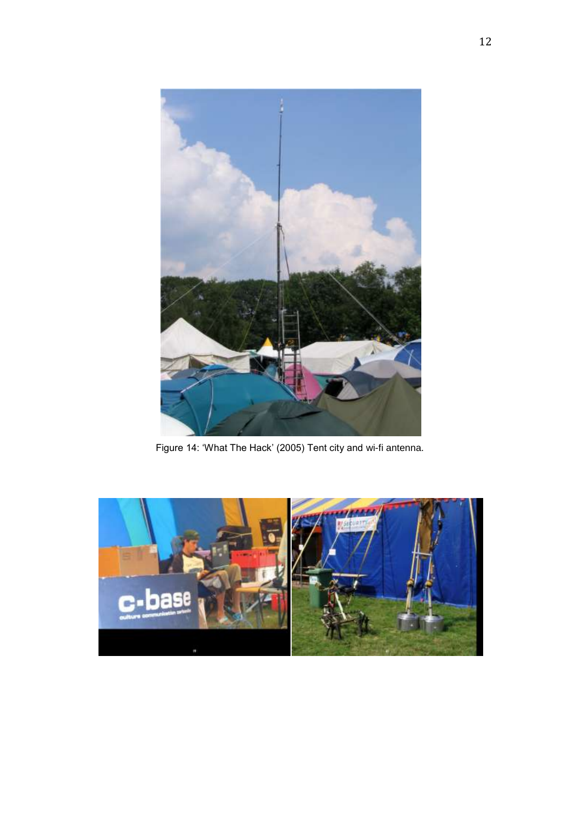

Figure 14: 'What The Hack' (2005) Tent city and wi-fi antenna.

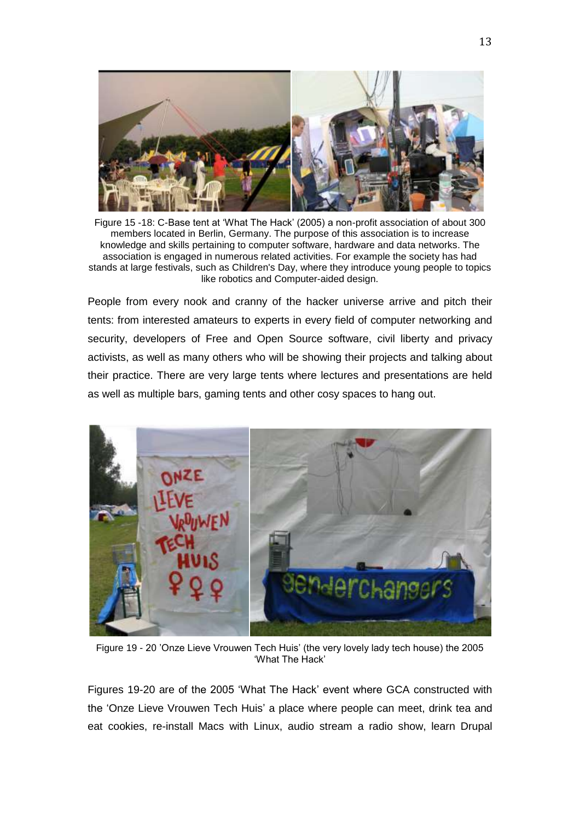

Figure 15 -18: C-Base tent at "What The Hack" (2005) a non-profit [association](http://en.wikipedia.org/wiki/Non-profit_organization) of about 300 members located in [Berlin, Germany.](http://en.wikipedia.org/wiki/Berlin,_Germany) The purpose of this association is to increase knowledge and skills pertaining to [computer software,](http://en.wikipedia.org/wiki/Computer_software) [hardware](http://en.wikipedia.org/wiki/Hardware) and [data networks.](http://en.wikipedia.org/wiki/Computer_networks) The association is engaged in numerous related activities. For example the society has had stands at large festivals, such as [Children's Day,](http://en.wikipedia.org/wiki/Children%27s_Day) where they introduce young people to topics like [robotics](http://en.wikipedia.org/wiki/Robotics) and [Computer-aided design.](http://en.wikipedia.org/wiki/Computer-aided_design)

People from every nook and cranny of the hacker universe arrive and pitch their tents: from interested amateurs to experts in every field of computer networking and security, developers of Free and Open Source software, civil liberty and privacy activists, as well as many others who will be showing their projects and talking about their practice. There are very large tents where lectures and presentations are held as well as multiple bars, gaming tents and other cosy spaces to hang out.



Figure 19 - 20 "Onze Lieve Vrouwen Tech Huis" (the very lovely lady tech house) the 2005 "What The Hack"

Figures 19-20 are of the 2005 "What The Hack" event where GCA constructed with the "Onze Lieve Vrouwen Tech Huis" a place where people can meet, drink tea and eat cookies, re-install Macs with Linux, audio stream a radio show, learn Drupal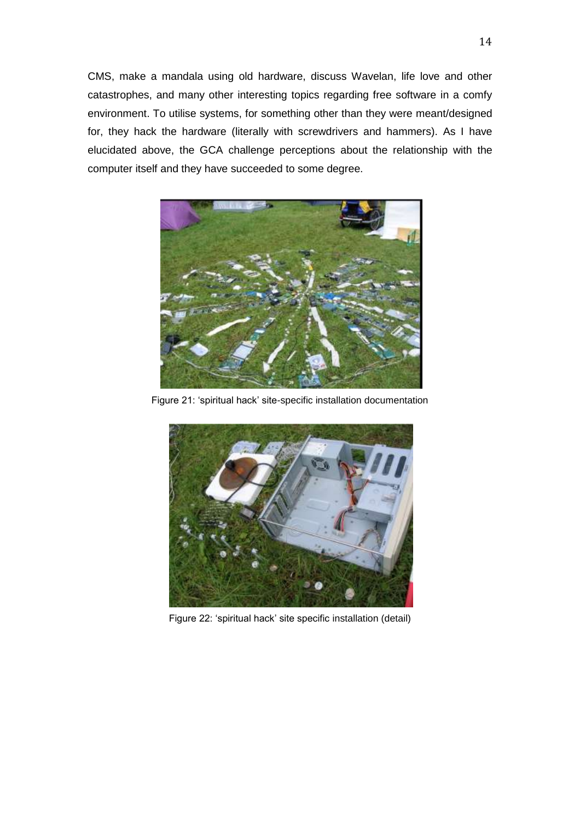CMS, make a mandala using old hardware, discuss Wavelan, life love and other catastrophes, and many other interesting topics regarding free software in a comfy environment. To utilise systems, for something other than they were meant/designed for, they hack the hardware (literally with screwdrivers and hammers). As I have elucidated above, the GCA challenge perceptions about the relationship with the computer itself and they have succeeded to some degree.



Figure 21: "spiritual hack" site-specific installation documentation



Figure 22: "spiritual hack" site specific installation (detail)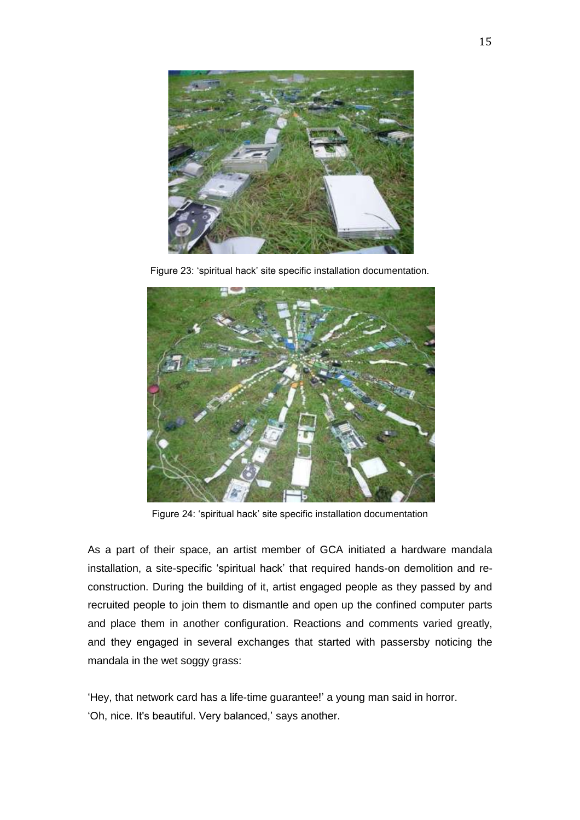

Figure 23: "spiritual hack" site specific installation documentation.



Figure 24: "spiritual hack" site specific installation documentation

As a part of their space, an artist member of GCA initiated a hardware mandala installation, a site-specific "spiritual hack" that required hands-on demolition and reconstruction. During the building of it, artist engaged people as they passed by and recruited people to join them to dismantle and open up the confined computer parts and place them in another configuration. Reactions and comments varied greatly, and they engaged in several exchanges that started with passersby noticing the mandala in the wet soggy grass:

"Hey, that network card has a life-time guarantee!" a young man said in horror. 'Oh, nice. It's beautiful. Very balanced,' says another.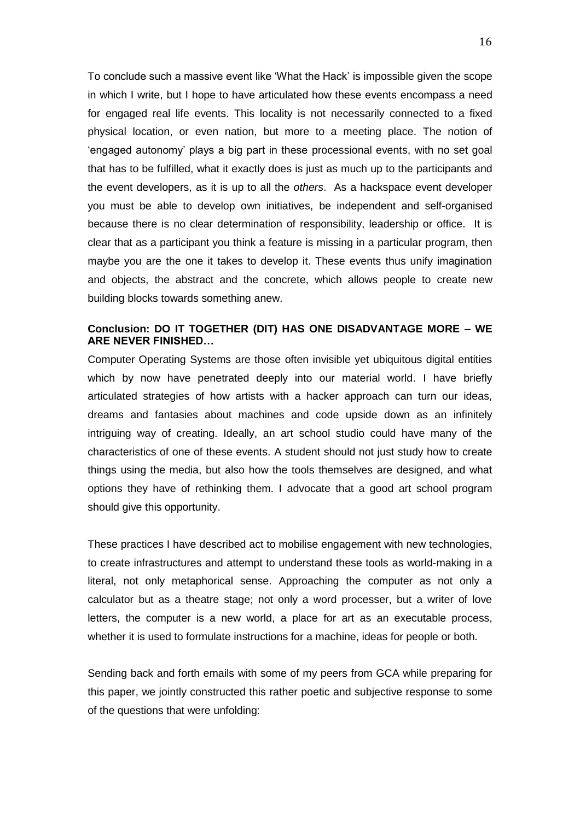To conclude such a massive event like "What the Hack" is impossible given the scope in which I write, but I hope to have articulated how these events encompass a need for engaged real life events. This locality is not necessarily connected to a fixed physical location, or even nation, but more to a meeting place. The notion of "engaged autonomy" plays a big part in these processional events, with no set goal that has to be fulfilled, what it exactly does is just as much up to the participants and the event developers, as it is up to all the *others*. As a hackspace event developer you must be able to develop own initiatives, be independent and self-organised because there is no clear determination of responsibility, leadership or office. It is clear that as a participant you think a feature is missing in a particular program, then maybe you are the one it takes to develop it. These events thus unify imagination and objects, the abstract and the concrete, which allows people to create new building blocks towards something anew.

## **Conclusion: DO IT TOGETHER (DIT) HAS ONE DISADVANTAGE MORE – WE ARE NEVER FINISHED…**

Computer Operating Systems are those often invisible yet ubiquitous digital entities which by now have penetrated deeply into our material world. I have briefly articulated strategies of how artists with a hacker approach can turn our ideas, dreams and fantasies about machines and code upside down as an infinitely intriguing way of creating. Ideally, an art school studio could have many of the characteristics of one of these events. A student should not just study how to create things using the media, but also how the tools themselves are designed, and what options they have of rethinking them. I advocate that a good art school program should give this opportunity.

These practices I have described act to mobilise engagement with new technologies, to create infrastructures and attempt to understand these tools as world-making in a literal, not only metaphorical sense. Approaching the computer as not only a calculator but as a theatre stage; not only a word processer, but a writer of love letters, the computer is a new world, a place for art as an executable process, whether it is used to formulate instructions for a machine, ideas for people or both.

Sending back and forth emails with some of my peers from GCA while preparing for this paper, we jointly constructed this rather poetic and subjective response to some of the questions that were unfolding: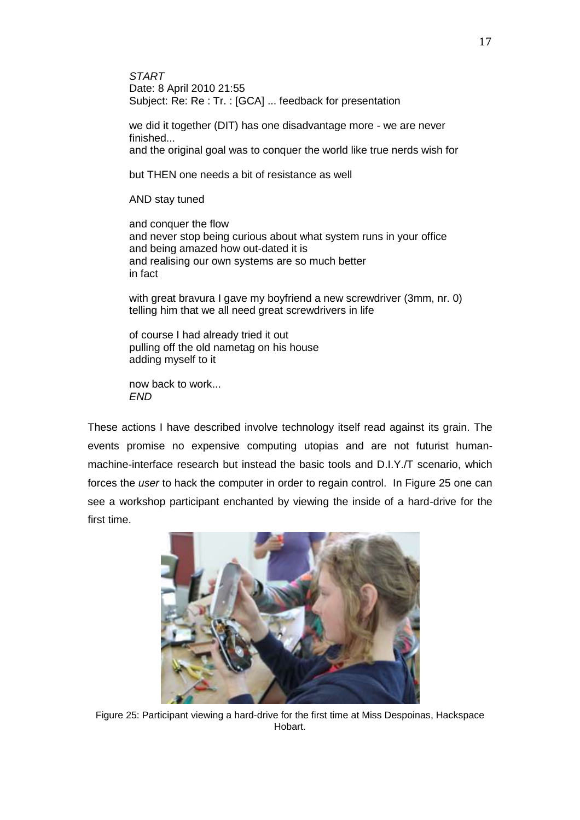*START* Date: 8 April 2010 21:55 Subject: Re: Re : Tr. : [GCA] ... feedback for presentation

we did it together (DIT) has one disadvantage more - we are never finished... and the original goal was to conquer the world like true nerds wish for

but THEN one needs a bit of resistance as well

AND stay tuned

and conquer the flow and never stop being curious about what system runs in your office and being amazed how out-dated it is and realising our own systems are so much better in fact

with great bravura I gave my boyfriend a new screwdriver (3mm, nr. 0) telling him that we all need great screwdrivers in life

of course I had already tried it out pulling off the old nametag on his house adding myself to it

now back to work... *END*

These actions I have described involve technology itself read against its grain. The events promise no expensive computing utopias and are not futurist humanmachine-interface research but instead the basic tools and D.I.Y./T scenario, which forces the *user* to hack the computer in order to regain control. In Figure 25 one can see a workshop participant enchanted by viewing the inside of a hard-drive for the first time.



Figure 25: Participant viewing a hard-drive for the first time at Miss Despoinas, Hackspace Hobart.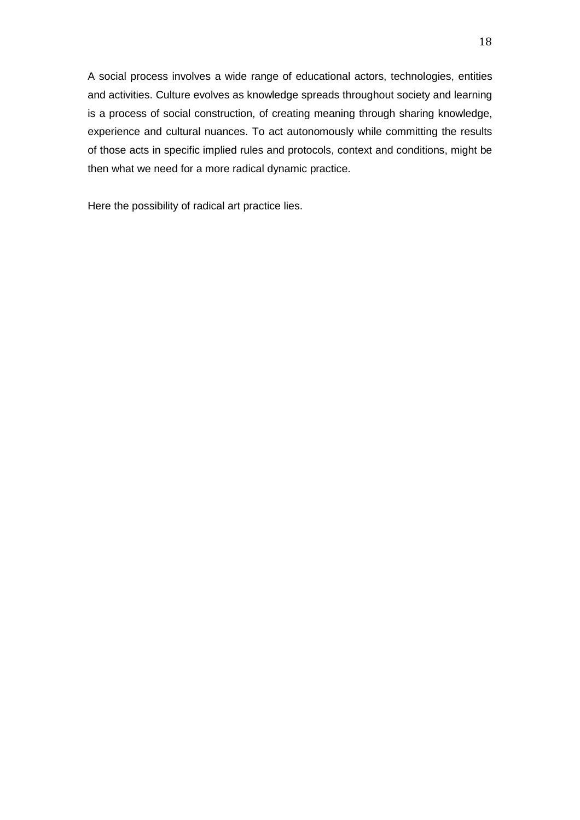A social process involves a wide range of educational actors, technologies, entities and activities. Culture evolves as knowledge spreads throughout society and learning is a process of social construction, of creating meaning through sharing knowledge, experience and cultural nuances. To act autonomously while committing the results of those acts in specific implied rules and protocols, context and conditions, might be then what we need for a more radical dynamic practice.

Here the possibility of radical art practice lies.